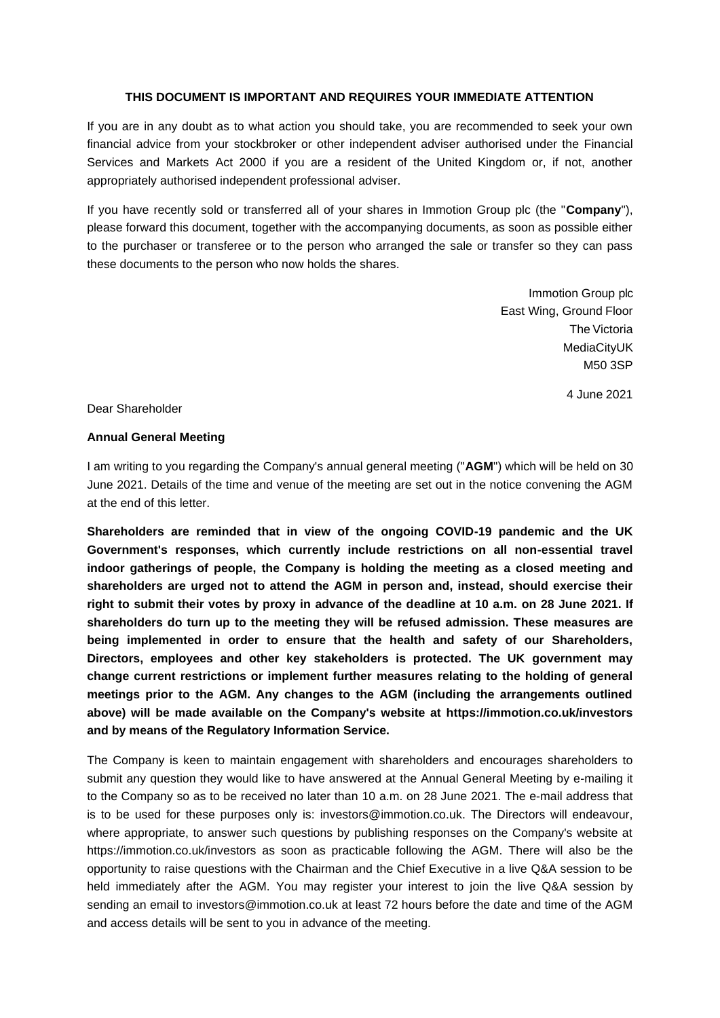### **THIS DOCUMENT IS IMPORTANT AND REQUIRES YOUR IMMEDIATE ATTENTION**

If you are in any doubt as to what action you should take, you are recommended to seek your own financial advice from your stockbroker or other independent adviser authorised under the Financial Services and Markets Act 2000 if you are a resident of the United Kingdom or, if not, another appropriately authorised independent professional adviser.

If you have recently sold or transferred all of your shares in Immotion Group plc (the "**Company**"), please forward this document, together with the accompanying documents, as soon as possible either to the purchaser or transferee or to the person who arranged the sale or transfer so they can pass these documents to the person who now holds the shares.

> Immotion Group plc East Wing, Ground Floor The Victoria MediaCityUK M50 3SP

> > 4 June 2021

Dear Shareholder

#### **Annual General Meeting**

I am writing to you regarding the Company's annual general meeting ("**AGM**") which will be held on 30 June 2021. Details of the time and venue of the meeting are set out in the notice convening the AGM at the end of this letter.

**Shareholders are reminded that in view of the ongoing COVID-19 pandemic and the UK Government's responses, which currently include restrictions on all non-essential travel indoor gatherings of people, the Company is holding the meeting as a closed meeting and shareholders are urged not to attend the AGM in person and, instead, should exercise their right to submit their votes by proxy in advance of the deadline at 10 a.m. on 28 June 2021. If shareholders do turn up to the meeting they will be refused admission. These measures are being implemented in order to ensure that the health and safety of our Shareholders, Directors, employees and other key stakeholders is protected. The UK government may change current restrictions or implement further measures relating to the holding of general meetings prior to the AGM. Any changes to the AGM (including the arrangements outlined above) will be made available on the Company's website at https://immotion.co.uk/investors and by means of the Regulatory Information Service.**

The Company is keen to maintain engagement with shareholders and encourages shareholders to submit any question they would like to have answered at the Annual General Meeting by e-mailing it to the Company so as to be received no later than 10 a.m. on 28 June 2021. The e-mail address that is to be used for these purposes only is: [investors@immotion.co.uk.](mailto:investors@immotion.co.uk) The Directors will endeavour, where appropriate, to answer such questions by publishing responses on the Company's website at https://immotion.co.uk/investors as soon as practicable following the AGM. There will also be the opportunity to raise questions with the Chairman and the Chief Executive in a live Q&A session to be held immediately after the AGM. You may register your interest to join the live Q&A session by sending an email to investors@immotion.co.uk at least 72 hours before the date and time of the AGM and access details will be sent to you in advance of the meeting.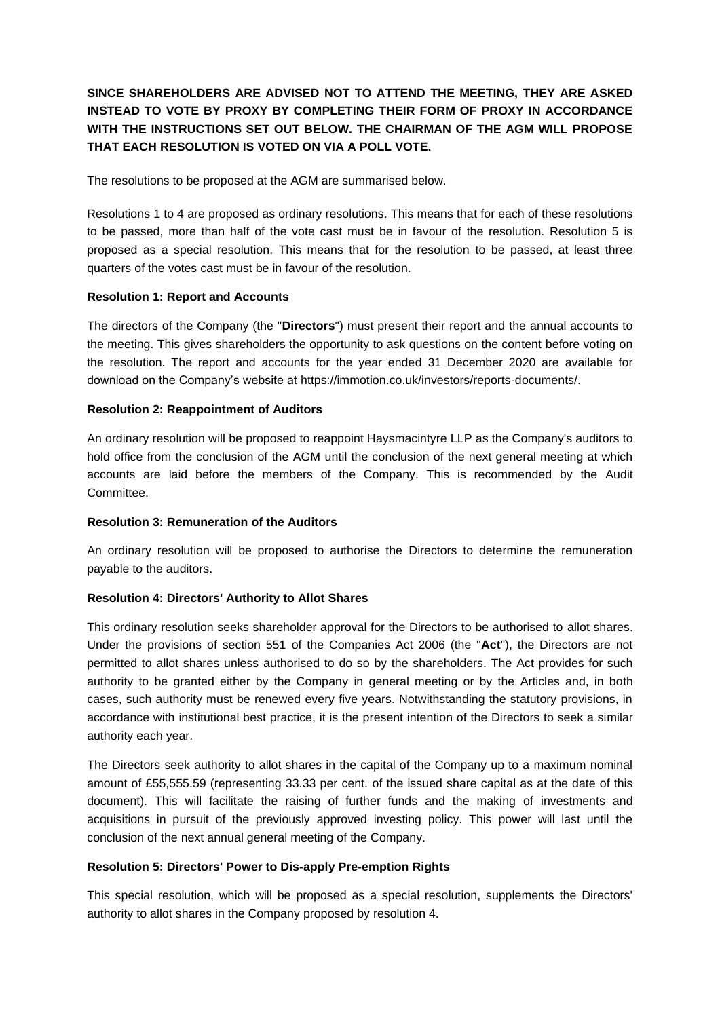**SINCE SHAREHOLDERS ARE ADVISED NOT TO ATTEND THE MEETING, THEY ARE ASKED INSTEAD TO VOTE BY PROXY BY COMPLETING THEIR FORM OF PROXY IN ACCORDANCE WITH THE INSTRUCTIONS SET OUT BELOW. THE CHAIRMAN OF THE AGM WILL PROPOSE THAT EACH RESOLUTION IS VOTED ON VIA A POLL VOTE.**

The resolutions to be proposed at the AGM are summarised below.

Resolutions 1 to 4 are proposed as ordinary resolutions. This means that for each of these resolutions to be passed, more than half of the vote cast must be in favour of the resolution. Resolution 5 is proposed as a special resolution. This means that for the resolution to be passed, at least three quarters of the votes cast must be in favour of the resolution.

### **Resolution 1: Report and Accounts**

The directors of the Company (the "**Directors**") must present their report and the annual accounts to the meeting. This gives shareholders the opportunity to ask questions on the content before voting on the resolution. The report and accounts for the year ended 31 December 2020 are available for download on the Company's website at https://immotion.co.uk/investors/reports-documents/.

### **Resolution 2: Reappointment of Auditors**

An ordinary resolution will be proposed to reappoint Haysmacintyre LLP as the Company's auditors to hold office from the conclusion of the AGM until the conclusion of the next general meeting at which accounts are laid before the members of the Company. This is recommended by the Audit Committee.

## **Resolution 3: Remuneration of the Auditors**

An ordinary resolution will be proposed to authorise the Directors to determine the remuneration payable to the auditors.

## **Resolution 4: Directors' Authority to Allot Shares**

This ordinary resolution seeks shareholder approval for the Directors to be authorised to allot shares. Under the provisions of section 551 of the Companies Act 2006 (the "**Act**"), the Directors are not permitted to allot shares unless authorised to do so by the shareholders. The Act provides for such authority to be granted either by the Company in general meeting or by the Articles and, in both cases, such authority must be renewed every five years. Notwithstanding the statutory provisions, in accordance with institutional best practice, it is the present intention of the Directors to seek a similar authority each year.

The Directors seek authority to allot shares in the capital of the Company up to a maximum nominal amount of £55,555.59 (representing 33.33 per cent. of the issued share capital as at the date of this document). This will facilitate the raising of further funds and the making of investments and acquisitions in pursuit of the previously approved investing policy. This power will last until the conclusion of the next annual general meeting of the Company.

## **Resolution 5: Directors' Power to Dis-apply Pre-emption Rights**

This special resolution, which will be proposed as a special resolution, supplements the Directors' authority to allot shares in the Company proposed by resolution 4.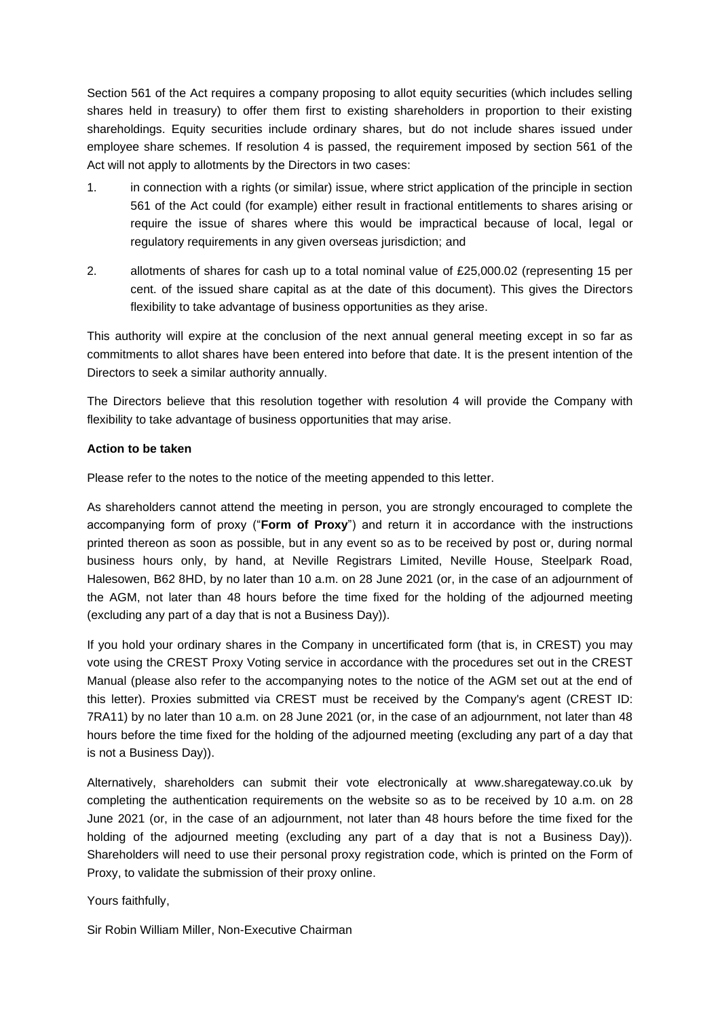Section 561 of the Act requires a company proposing to allot equity securities (which includes selling shares held in treasury) to offer them first to existing shareholders in proportion to their existing shareholdings. Equity securities include ordinary shares, but do not include shares issued under employee share schemes. If resolution 4 is passed, the requirement imposed by section 561 of the Act will not apply to allotments by the Directors in two cases:

- 1. in connection with a rights (or similar) issue, where strict application of the principle in section 561 of the Act could (for example) either result in fractional entitlements to shares arising or require the issue of shares where this would be impractical because of local, legal or regulatory requirements in any given overseas jurisdiction; and
- 2. allotments of shares for cash up to a total nominal value of £25,000.02 (representing 15 per cent. of the issued share capital as at the date of this document). This gives the Directors flexibility to take advantage of business opportunities as they arise.

This authority will expire at the conclusion of the next annual general meeting except in so far as commitments to allot shares have been entered into before that date. It is the present intention of the Directors to seek a similar authority annually.

The Directors believe that this resolution together with resolution 4 will provide the Company with flexibility to take advantage of business opportunities that may arise.

### **Action to be taken**

Please refer to the notes to the notice of the meeting appended to this letter.

As shareholders cannot attend the meeting in person, you are strongly encouraged to complete the accompanying form of proxy ("**Form of Proxy**") and return it in accordance with the instructions printed thereon as soon as possible, but in any event so as to be received by post or, during normal business hours only, by hand, at Neville Registrars Limited, Neville House, Steelpark Road, Halesowen, B62 8HD, by no later than 10 a.m. on 28 June 2021 (or, in the case of an adjournment of the AGM, not later than 48 hours before the time fixed for the holding of the adjourned meeting (excluding any part of a day that is not a Business Day)).

If you hold your ordinary shares in the Company in uncertificated form (that is, in CREST) you may vote using the CREST Proxy Voting service in accordance with the procedures set out in the CREST Manual (please also refer to the accompanying notes to the notice of the AGM set out at the end of this letter). Proxies submitted via CREST must be received by the Company's agent (CREST ID: 7RA11) by no later than 10 a.m. on 28 June 2021 (or, in the case of an adjournment, not later than 48 hours before the time fixed for the holding of the adjourned meeting (excluding any part of a day that is not a Business Day)).

Alternatively, shareholders can submit their vote electronically at www.sharegateway.co.uk by completing the authentication requirements on the website so as to be received by 10 a.m. on 28 June 2021 (or, in the case of an adjournment, not later than 48 hours before the time fixed for the holding of the adjourned meeting (excluding any part of a day that is not a Business Day)). Shareholders will need to use their personal proxy registration code, which is printed on the Form of Proxy, to validate the submission of their proxy online.

Yours faithfully,

Sir Robin William Miller, Non-Executive Chairman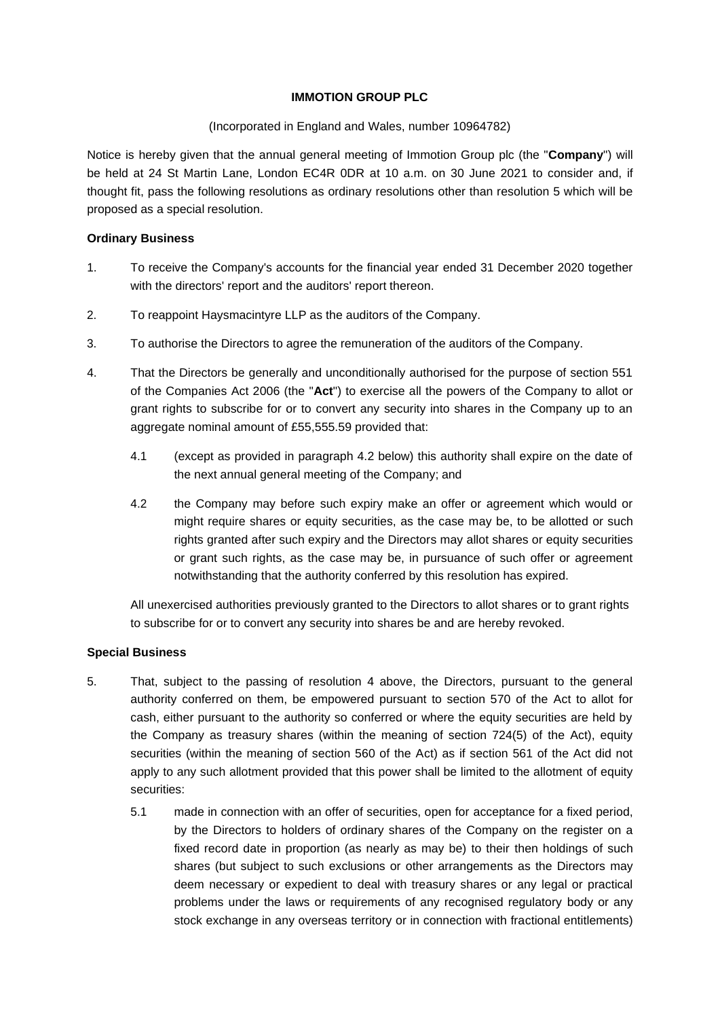# **IMMOTION GROUP PLC**

## (Incorporated in England and Wales, number 10964782)

Notice is hereby given that the annual general meeting of Immotion Group plc (the "**Company**") will be held at 24 St Martin Lane, London EC4R 0DR at 10 a.m. on 30 June 2021 to consider and, if thought fit, pass the following resolutions as ordinary resolutions other than resolution 5 which will be proposed as a special resolution.

# **Ordinary Business**

- 1. To receive the Company's accounts for the financial year ended 31 December 2020 together with the directors' report and the auditors' report thereon.
- 2. To reappoint Haysmacintyre LLP as the auditors of the Company.
- 3. To authorise the Directors to agree the remuneration of the auditors of the Company.
- 4. That the Directors be generally and unconditionally authorised for the purpose of section 551 of the Companies Act 2006 (the "**Act**") to exercise all the powers of the Company to allot or grant rights to subscribe for or to convert any security into shares in the Company up to an aggregate nominal amount of £55,555.59 provided that:
	- 4.1 (except as provided in paragraph 4.2 below) this authority shall expire on the date of the next annual general meeting of the Company; and
	- 4.2 the Company may before such expiry make an offer or agreement which would or might require shares or equity securities, as the case may be, to be allotted or such rights granted after such expiry and the Directors may allot shares or equity securities or grant such rights, as the case may be, in pursuance of such offer or agreement notwithstanding that the authority conferred by this resolution has expired.

All unexercised authorities previously granted to the Directors to allot shares or to grant rights to subscribe for or to convert any security into shares be and are hereby revoked.

## **Special Business**

- 5. That, subject to the passing of resolution 4 above, the Directors, pursuant to the general authority conferred on them, be empowered pursuant to section 570 of the Act to allot for cash, either pursuant to the authority so conferred or where the equity securities are held by the Company as treasury shares (within the meaning of section 724(5) of the Act), equity securities (within the meaning of section 560 of the Act) as if section 561 of the Act did not apply to any such allotment provided that this power shall be limited to the allotment of equity securities:
	- 5.1 made in connection with an offer of securities, open for acceptance for a fixed period, by the Directors to holders of ordinary shares of the Company on the register on a fixed record date in proportion (as nearly as may be) to their then holdings of such shares (but subject to such exclusions or other arrangements as the Directors may deem necessary or expedient to deal with treasury shares or any legal or practical problems under the laws or requirements of any recognised regulatory body or any stock exchange in any overseas territory or in connection with fractional entitlements)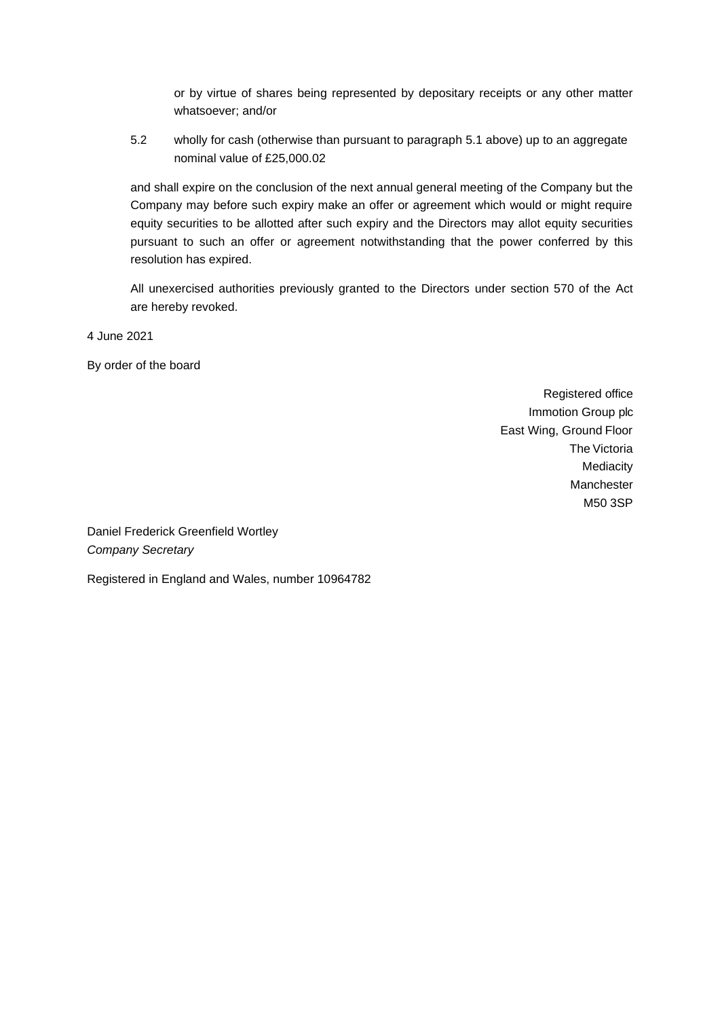or by virtue of shares being represented by depositary receipts or any other matter whatsoever; and/or

5.2 wholly for cash (otherwise than pursuant to paragraph 5.1 above) up to an aggregate nominal value of £25,000.02

and shall expire on the conclusion of the next annual general meeting of the Company but the Company may before such expiry make an offer or agreement which would or might require equity securities to be allotted after such expiry and the Directors may allot equity securities pursuant to such an offer or agreement notwithstanding that the power conferred by this resolution has expired.

All unexercised authorities previously granted to the Directors under section 570 of the Act are hereby revoked.

4 June 2021

By order of the board

Registered office Immotion Group plc East Wing, Ground Floor The Victoria **Mediacity** Manchester M50 3SP

Daniel Frederick Greenfield Wortley *Company Secretary*

Registered in England and Wales, number 10964782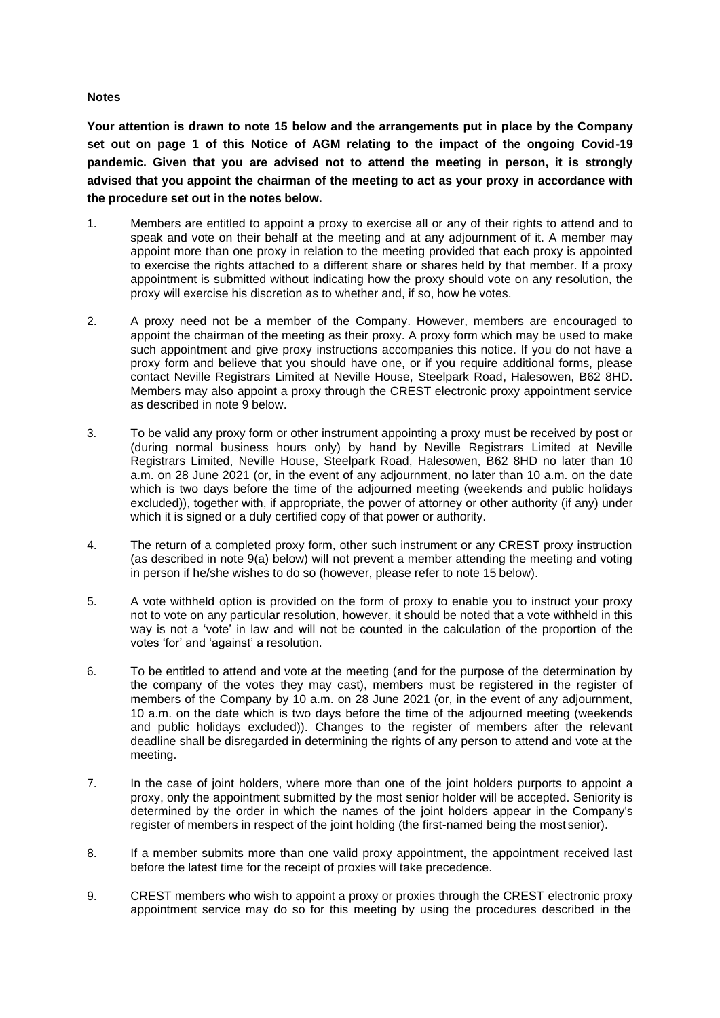### **Notes**

**Your attention is drawn to note 15 below and the arrangements put in place by the Company set out on page 1 of this Notice of AGM relating to the impact of the ongoing Covid-19 pandemic. Given that you are advised not to attend the meeting in person, it is strongly advised that you appoint the chairman of the meeting to act as your proxy in accordance with the procedure set out in the notes below.**

- 1. Members are entitled to appoint a proxy to exercise all or any of their rights to attend and to speak and vote on their behalf at the meeting and at any adjournment of it. A member may appoint more than one proxy in relation to the meeting provided that each proxy is appointed to exercise the rights attached to a different share or shares held by that member. If a proxy appointment is submitted without indicating how the proxy should vote on any resolution, the proxy will exercise his discretion as to whether and, if so, how he votes.
- 2. A proxy need not be a member of the Company. However, members are encouraged to appoint the chairman of the meeting as their proxy. A proxy form which may be used to make such appointment and give proxy instructions accompanies this notice. If you do not have a proxy form and believe that you should have one, or if you require additional forms, please contact Neville Registrars Limited at Neville House, Steelpark Road, Halesowen, B62 8HD. Members may also appoint a proxy through the CREST electronic proxy appointment service as described in note 9 below.
- 3. To be valid any proxy form or other instrument appointing a proxy must be received by post or (during normal business hours only) by hand by Neville Registrars Limited at Neville Registrars Limited, Neville House, Steelpark Road, Halesowen, B62 8HD no later than 10 a.m. on 28 June 2021 (or, in the event of any adjournment, no later than 10 a.m. on the date which is two days before the time of the adjourned meeting (weekends and public holidays excluded)), together with, if appropriate, the power of attorney or other authority (if any) under which it is signed or a duly certified copy of that power or authority.
- 4. The return of a completed proxy form, other such instrument or any CREST proxy instruction (as described in note 9(a) below) will not prevent a member attending the meeting and voting in person if he/she wishes to do so (however, please refer to note 15 below).
- 5. A vote withheld option is provided on the form of proxy to enable you to instruct your proxy not to vote on any particular resolution, however, it should be noted that a vote withheld in this way is not a 'vote' in law and will not be counted in the calculation of the proportion of the votes 'for' and 'against' a resolution.
- 6. To be entitled to attend and vote at the meeting (and for the purpose of the determination by the company of the votes they may cast), members must be registered in the register of members of the Company by 10 a.m. on 28 June 2021 (or, in the event of any adjournment, 10 a.m. on the date which is two days before the time of the adjourned meeting (weekends and public holidays excluded)). Changes to the register of members after the relevant deadline shall be disregarded in determining the rights of any person to attend and vote at the meeting.
- 7. In the case of joint holders, where more than one of the joint holders purports to appoint a proxy, only the appointment submitted by the most senior holder will be accepted. Seniority is determined by the order in which the names of the joint holders appear in the Company's register of members in respect of the joint holding (the first-named being the most senior).
- 8. If a member submits more than one valid proxy appointment, the appointment received last before the latest time for the receipt of proxies will take precedence.
- 9. CREST members who wish to appoint a proxy or proxies through the CREST electronic proxy appointment service may do so for this meeting by using the procedures described in the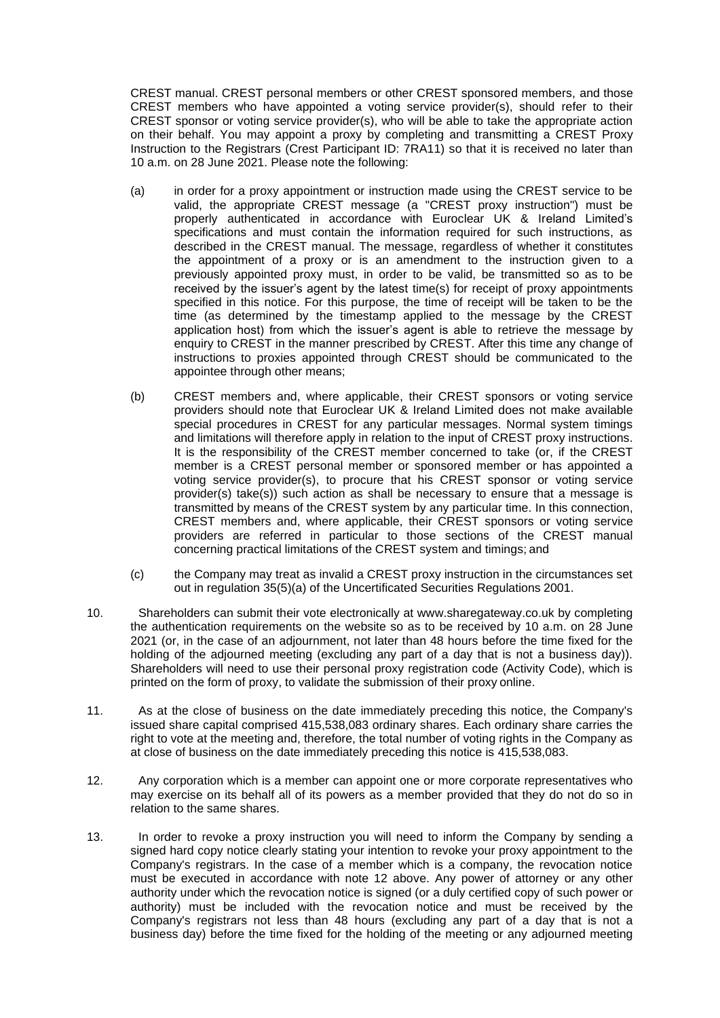CREST manual. CREST personal members or other CREST sponsored members, and those CREST members who have appointed a voting service provider(s), should refer to their CREST sponsor or voting service provider(s), who will be able to take the appropriate action on their behalf. You may appoint a proxy by completing and transmitting a CREST Proxy Instruction to the Registrars (Crest Participant ID: 7RA11) so that it is received no later than 10 a.m. on 28 June 2021. Please note the following:

- (a) in order for a proxy appointment or instruction made using the CREST service to be valid, the appropriate CREST message (a "CREST proxy instruction") must be properly authenticated in accordance with Euroclear UK & Ireland Limited's specifications and must contain the information required for such instructions, as described in the CREST manual. The message, regardless of whether it constitutes the appointment of a proxy or is an amendment to the instruction given to a previously appointed proxy must, in order to be valid, be transmitted so as to be received by the issuer's agent by the latest time(s) for receipt of proxy appointments specified in this notice. For this purpose, the time of receipt will be taken to be the time (as determined by the timestamp applied to the message by the CREST application host) from which the issuer's agent is able to retrieve the message by enquiry to CREST in the manner prescribed by CREST. After this time any change of instructions to proxies appointed through CREST should be communicated to the appointee through other means;
- (b) CREST members and, where applicable, their CREST sponsors or voting service providers should note that Euroclear UK & Ireland Limited does not make available special procedures in CREST for any particular messages. Normal system timings and limitations will therefore apply in relation to the input of CREST proxy instructions. It is the responsibility of the CREST member concerned to take (or, if the CREST member is a CREST personal member or sponsored member or has appointed a voting service provider(s), to procure that his CREST sponsor or voting service provider(s) take(s)) such action as shall be necessary to ensure that a message is transmitted by means of the CREST system by any particular time. In this connection, CREST members and, where applicable, their CREST sponsors or voting service providers are referred in particular to those sections of the CREST manual concerning practical limitations of the CREST system and timings; and
- (c) the Company may treat as invalid a CREST proxy instruction in the circumstances set out in regulation 35(5)(a) of the Uncertificated Securities Regulations 2001.
- 10. Shareholders can submit their vote electronically at [www.sharegateway.co.uk b](http://www.sharegateway.co.uk/)y completing the authentication requirements on the website so as to be received by 10 a.m. on 28 June 2021 (or, in the case of an adjournment, not later than 48 hours before the time fixed for the holding of the adjourned meeting (excluding any part of a day that is not a business day)). Shareholders will need to use their personal proxy registration code (Activity Code), which is printed on the form of proxy, to validate the submission of their proxy online.
- 11. As at the close of business on the date immediately preceding this notice, the Company's issued share capital comprised 415,538,083 ordinary shares. Each ordinary share carries the right to vote at the meeting and, therefore, the total number of voting rights in the Company as at close of business on the date immediately preceding this notice is 415,538,083.
- 12. Any corporation which is a member can appoint one or more corporate representatives who may exercise on its behalf all of its powers as a member provided that they do not do so in relation to the same shares.
- 13. In order to revoke a proxy instruction you will need to inform the Company by sending a signed hard copy notice clearly stating your intention to revoke your proxy appointment to the Company's registrars. In the case of a member which is a company, the revocation notice must be executed in accordance with note 12 above. Any power of attorney or any other authority under which the revocation notice is signed (or a duly certified copy of such power or authority) must be included with the revocation notice and must be received by the Company's registrars not less than 48 hours (excluding any part of a day that is not a business day) before the time fixed for the holding of the meeting or any adjourned meeting